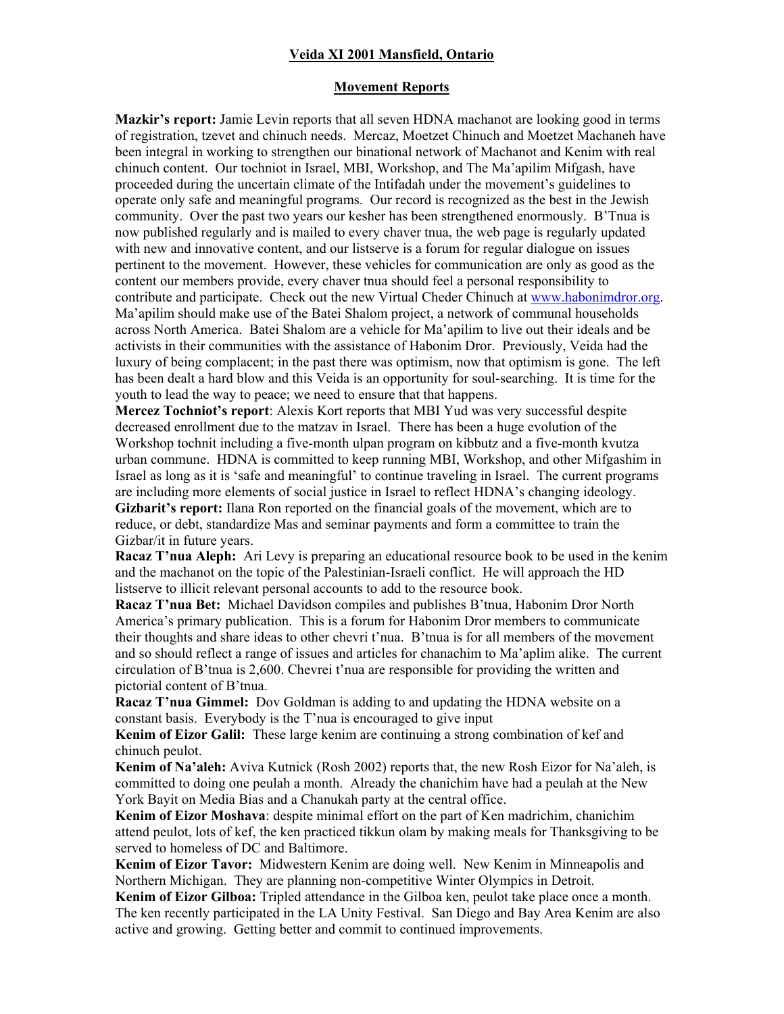### **Veida XI 2001 Mansfield, Ontario**

#### **Movement Reports**

**Mazkir's report:** Jamie Levin reports that all seven HDNA machanot are looking good in terms of registration, tzevet and chinuch needs. Mercaz, Moetzet Chinuch and Moetzet Machaneh have been integral in working to strengthen our binational network of Machanot and Kenim with real chinuch content. Our tochniot in Israel, MBI, Workshop, and The Ma'apilim Mifgash, have proceeded during the uncertain climate of the Intifadah under the movement's guidelines to operate only safe and meaningful programs. Our record is recognized as the best in the Jewish community. Over the past two years our kesher has been strengthened enormously. B'Tnua is now published regularly and is mailed to every chaver tnua, the web page is regularly updated with new and innovative content, and our listserve is a forum for regular dialogue on issues pertinent to the movement. However, these vehicles for communication are only as good as the content our members provide, every chaver tnua should feel a personal responsibility to contribute and participate. Check out the new Virtual Cheder Chinuch at www.habonimdror.org. Ma'apilim should make use of the Batei Shalom project, a network of communal households across North America. Batei Shalom are a vehicle for Maíapilim to live out their ideals and be activists in their communities with the assistance of Habonim Dror. Previously, Veida had the luxury of being complacent; in the past there was optimism, now that optimism is gone. The left has been dealt a hard blow and this Veida is an opportunity for soul-searching. It is time for the youth to lead the way to peace; we need to ensure that that happens.

**Mercez Tochniotís report**: Alexis Kort reports that MBI Yud was very successful despite decreased enrollment due to the matzav in Israel. There has been a huge evolution of the Workshop tochnit including a five-month ulpan program on kibbutz and a five-month kvutza urban commune. HDNA is committed to keep running MBI, Workshop, and other Mifgashim in Israel as long as it is 'safe and meaningful' to continue traveling in Israel. The current programs are including more elements of social justice in Israel to reflect HDNA's changing ideology. Gizbarit's report: Ilana Ron reported on the financial goals of the movement, which are to reduce, or debt, standardize Mas and seminar payments and form a committee to train the Gizbar/it in future years.

**Racaz T'nua Aleph:** Ari Levy is preparing an educational resource book to be used in the kenim and the machanot on the topic of the Palestinian-Israeli conflict. He will approach the HD listserve to illicit relevant personal accounts to add to the resource book.

**Racaz T'nua Bet:** Michael Davidson compiles and publishes B'tnua, Habonim Dror North Americaís primary publication. This is a forum for Habonim Dror members to communicate their thoughts and share ideas to other chevri t'nua. B'tnua is for all members of the movement and so should reflect a range of issues and articles for chanachim to Ma'aplim alike. The current circulation of B'tnua is  $2,600$ . Chevrei t'nua are responsible for providing the written and pictorial content of B'tnua.

**Racaz T'nua Gimmel:** Dov Goldman is adding to and updating the HDNA website on a constant basis. Everybody is the  $T$ 'nua is encouraged to give input

**Kenim of Eizor Galil:** These large kenim are continuing a strong combination of kef and chinuch peulot.

**Kenim of Na'aleh:** Aviva Kutnick (Rosh 2002) reports that, the new Rosh Eizor for Na'aleh, is committed to doing one peulah a month. Already the chanichim have had a peulah at the New York Bayit on Media Bias and a Chanukah party at the central office.

**Kenim of Eizor Moshava**: despite minimal effort on the part of Ken madrichim, chanichim attend peulot, lots of kef, the ken practiced tikkun olam by making meals for Thanksgiving to be served to homeless of DC and Baltimore.

**Kenim of Eizor Tavor:** Midwestern Kenim are doing well. New Kenim in Minneapolis and Northern Michigan. They are planning non-competitive Winter Olympics in Detroit.

**Kenim of Eizor Gilboa:** Tripled attendance in the Gilboa ken, peulot take place once a month. The ken recently participated in the LA Unity Festival. San Diego and Bay Area Kenim are also active and growing. Getting better and commit to continued improvements.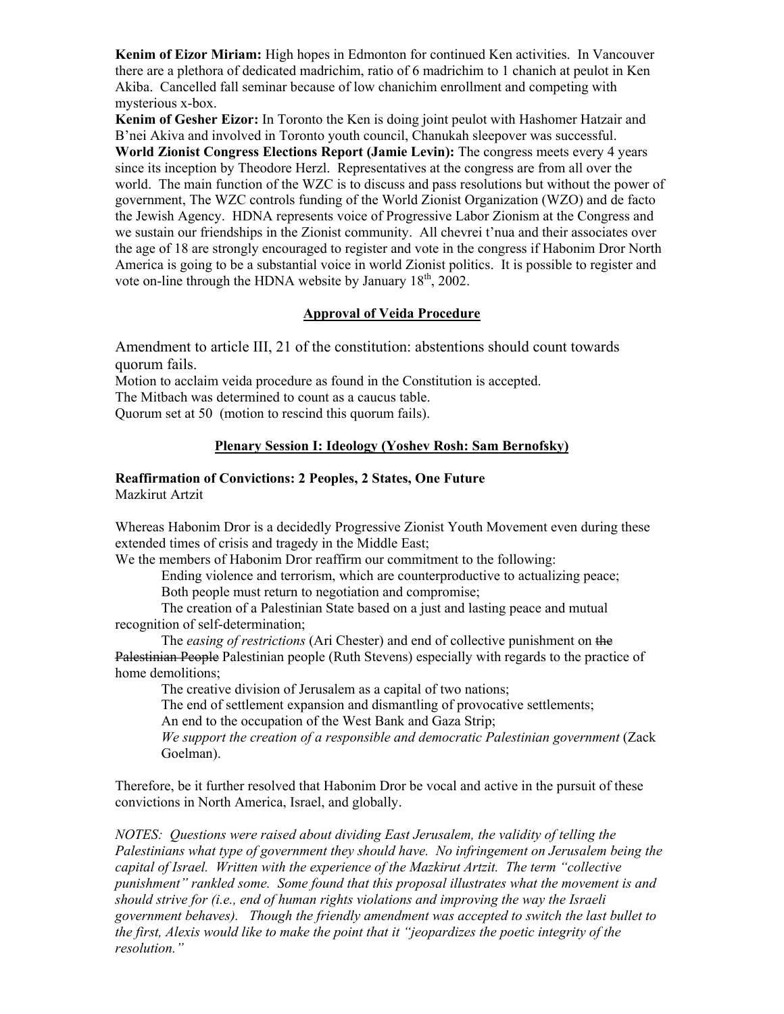**Kenim of Eizor Miriam:** High hopes in Edmonton for continued Ken activities. In Vancouver there are a plethora of dedicated madrichim, ratio of 6 madrichim to 1 chanich at peulot in Ken Akiba. Cancelled fall seminar because of low chanichim enrollment and competing with mysterious x-box.

**Kenim of Gesher Eizor:** In Toronto the Ken is doing joint peulot with Hashomer Hatzair and Bínei Akiva and involved in Toronto youth council, Chanukah sleepover was successful. **World Zionist Congress Elections Report (Jamie Levin):** The congress meets every 4 years since its inception by Theodore Herzl. Representatives at the congress are from all over the world. The main function of the WZC is to discuss and pass resolutions but without the power of government, The WZC controls funding of the World Zionist Organization (WZO) and de facto the Jewish Agency. HDNA represents voice of Progressive Labor Zionism at the Congress and we sustain our friendships in the Zionist community. All chevrei t'nua and their associates over the age of 18 are strongly encouraged to register and vote in the congress if Habonim Dror North America is going to be a substantial voice in world Zionist politics. It is possible to register and vote on-line through the HDNA website by January  $18<sup>th</sup>$ ,  $2002$ .

# **Approval of Veida Procedure**

Amendment to article III, 21 of the constitution: abstentions should count towards quorum fails.

Motion to acclaim veida procedure as found in the Constitution is accepted.

The Mitbach was determined to count as a caucus table.

Quorum set at 50 (motion to rescind this quorum fails).

## **Plenary Session I: Ideology (Yoshev Rosh: Sam Bernofsky)**

# **Reaffirmation of Convictions: 2 Peoples, 2 States, One Future**

Mazkirut Artzit

Whereas Habonim Dror is a decidedly Progressive Zionist Youth Movement even during these extended times of crisis and tragedy in the Middle East;

We the members of Habonim Dror reaffirm our commitment to the following:

Ending violence and terrorism, which are counterproductive to actualizing peace;

Both people must return to negotiation and compromise;

The creation of a Palestinian State based on a just and lasting peace and mutual recognition of self-determination;

The *easing of restrictions* (Ari Chester) and end of collective punishment on the Palestinian People Palestinian people (Ruth Stevens) especially with regards to the practice of home demolitions;

The creative division of Jerusalem as a capital of two nations;

The end of settlement expansion and dismantling of provocative settlements;

An end to the occupation of the West Bank and Gaza Strip;

*We support the creation of a responsible and democratic Palestinian government* (Zack Goelman).

Therefore, be it further resolved that Habonim Dror be vocal and active in the pursuit of these convictions in North America, Israel, and globally.

*NOTES: Questions were raised about dividing East Jerusalem, the validity of telling the Palestinians what type of government they should have. No infringement on Jerusalem being the*  capital of Israel. Written with the experience of the Mazkirut Artzit. The term "collective *punishmentî rankled some. Some found that this proposal illustrates what the movement is and should strive for (i.e., end of human rights violations and improving the way the Israeli government behaves). Though the friendly amendment was accepted to switch the last bullet to the first, Alexis would like to make the point that it "jeopardizes the poetic integrity of the resolution.*"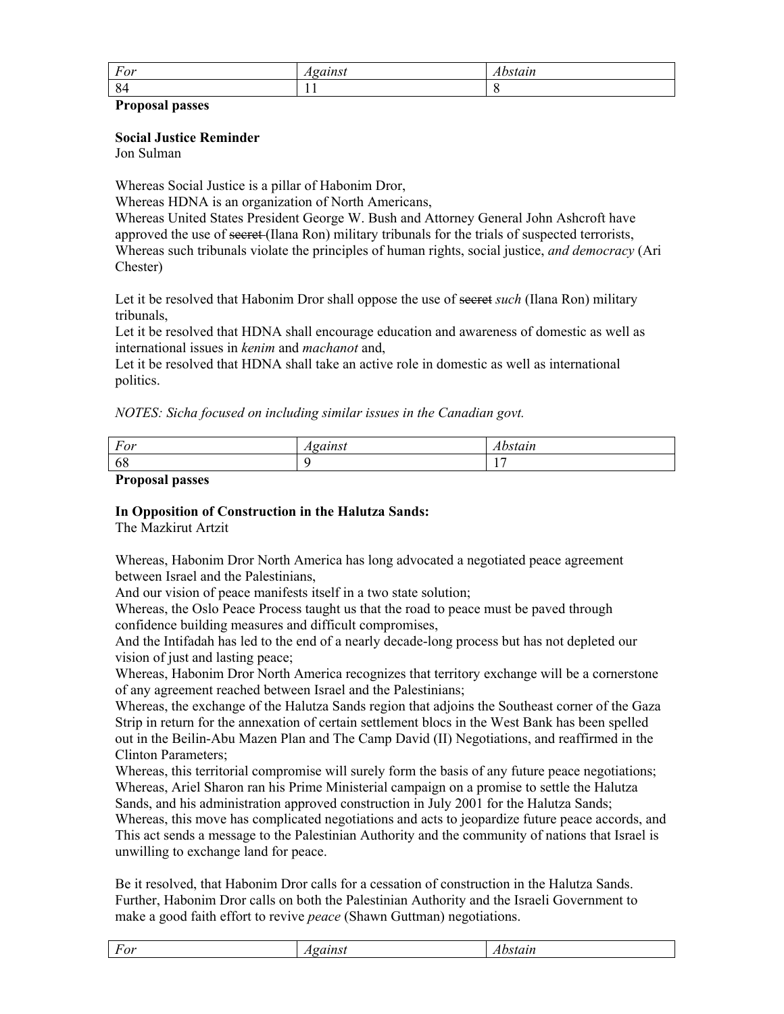| ᠇               | $-2$ $-2$ $-2$ | $\sim$ $\sim$ |
|-----------------|----------------|---------------|
| For             | . .            | <i>uur</i>    |
| $\Omega$<br>-84 | . .            |               |

### **Proposal passes**

### **Social Justice Reminder**

Jon Sulman

Whereas Social Justice is a pillar of Habonim Dror,

Whereas HDNA is an organization of North Americans,

Whereas United States President George W. Bush and Attorney General John Ashcroft have approved the use of secret (Ilana Ron) military tribunals for the trials of suspected terrorists, Whereas such tribunals violate the principles of human rights, social justice, *and democracy* (Ari Chester)

Let it be resolved that Habonim Dror shall oppose the use of secret *such* (Ilana Ron) military tribunals,

Let it be resolved that HDNA shall encourage education and awareness of domestic as well as international issues in *kenim* and *machanot* and,

Let it be resolved that HDNA shall take an active role in domestic as well as international politics.

*NOTES: Sicha focused on including similar issues in the Canadian govt.* 

| $\overline{\phantom{0}}$<br>For | . |
|---------------------------------|---|
| -68                             |   |

**Proposal passes** 

# **In Opposition of Construction in the Halutza Sands:**

The Mazkirut Artzit

Whereas, Habonim Dror North America has long advocated a negotiated peace agreement between Israel and the Palestinians,

And our vision of peace manifests itself in a two state solution;

Whereas, the Oslo Peace Process taught us that the road to peace must be paved through confidence building measures and difficult compromises,

And the Intifadah has led to the end of a nearly decade-long process but has not depleted our vision of just and lasting peace;

Whereas, Habonim Dror North America recognizes that territory exchange will be a cornerstone of any agreement reached between Israel and the Palestinians;

Whereas, the exchange of the Halutza Sands region that adjoins the Southeast corner of the Gaza Strip in return for the annexation of certain settlement blocs in the West Bank has been spelled out in the Beilin-Abu Mazen Plan and The Camp David (II) Negotiations, and reaffirmed in the Clinton Parameters;

Whereas, this territorial compromise will surely form the basis of any future peace negotiations; Whereas, Ariel Sharon ran his Prime Ministerial campaign on a promise to settle the Halutza Sands, and his administration approved construction in July 2001 for the Halutza Sands;

Whereas, this move has complicated negotiations and acts to jeopardize future peace accords, and This act sends a message to the Palestinian Authority and the community of nations that Israel is unwilling to exchange land for peace.

Be it resolved, that Habonim Dror calls for a cessation of construction in the Halutza Sands. Further, Habonim Dror calls on both the Palestinian Authority and the Israeli Government to make a good faith effort to revive *peace* (Shawn Guttman) negotiations.

| $\Omega$<br>υ.<br>$\mathbf{r}$ | . |
|--------------------------------|---|
|                                |   |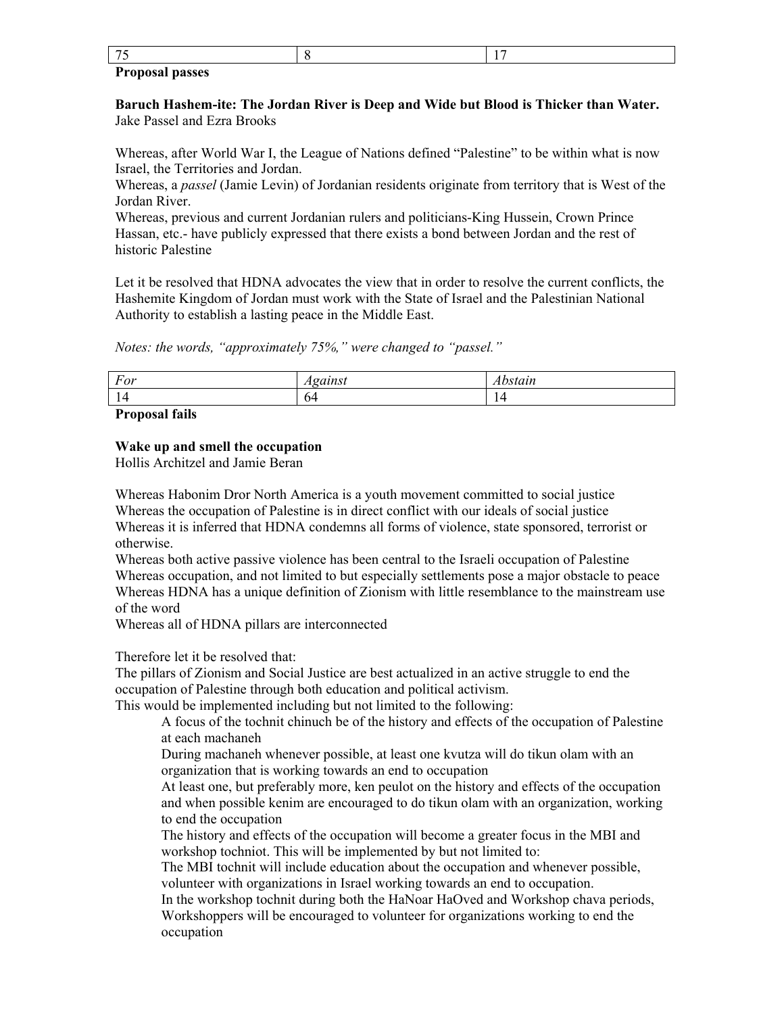### **Proposal passes**

**Baruch Hashem-ite: The Jordan River is Deep and Wide but Blood is Thicker than Water.**  Jake Passel and Ezra Brooks

Whereas, after World War I, the League of Nations defined "Palestine" to be within what is now Israel, the Territories and Jordan.

Whereas, a *passel* (Jamie Levin) of Jordanian residents originate from territory that is West of the Jordan River.

Whereas, previous and current Jordanian rulers and politicians-King Hussein, Crown Prince Hassan, etc.- have publicly expressed that there exists a bond between Jordan and the rest of historic Palestine

Let it be resolved that HDNA advocates the view that in order to resolve the current conflicts, the Hashemite Kingdom of Jordan must work with the State of Israel and the Palestinian National Authority to establish a lasting peace in the Middle East.

*Notes: the words, "approximately 75%," were changed to "passel."* 

| For | 0.0113001<br>wunsi<br>. | Abstain |
|-----|-------------------------|---------|
| -   | 04                      |         |

### **Proposal fails**

### **Wake up and smell the occupation**

Hollis Architzel and Jamie Beran

Whereas Habonim Dror North America is a youth movement committed to social justice Whereas the occupation of Palestine is in direct conflict with our ideals of social justice Whereas it is inferred that HDNA condemns all forms of violence, state sponsored, terrorist or otherwise.

Whereas both active passive violence has been central to the Israeli occupation of Palestine Whereas occupation, and not limited to but especially settlements pose a major obstacle to peace Whereas HDNA has a unique definition of Zionism with little resemblance to the mainstream use of the word

Whereas all of HDNA pillars are interconnected

### Therefore let it be resolved that:

The pillars of Zionism and Social Justice are best actualized in an active struggle to end the occupation of Palestine through both education and political activism.

This would be implemented including but not limited to the following:

A focus of the tochnit chinuch be of the history and effects of the occupation of Palestine at each machaneh

During machaneh whenever possible, at least one kvutza will do tikun olam with an organization that is working towards an end to occupation

At least one, but preferably more, ken peulot on the history and effects of the occupation and when possible kenim are encouraged to do tikun olam with an organization, working to end the occupation

The history and effects of the occupation will become a greater focus in the MBI and workshop tochniot. This will be implemented by but not limited to:

The MBI tochnit will include education about the occupation and whenever possible, volunteer with organizations in Israel working towards an end to occupation.

In the workshop tochnit during both the HaNoar HaOved and Workshop chava periods, Workshoppers will be encouraged to volunteer for organizations working to end the occupation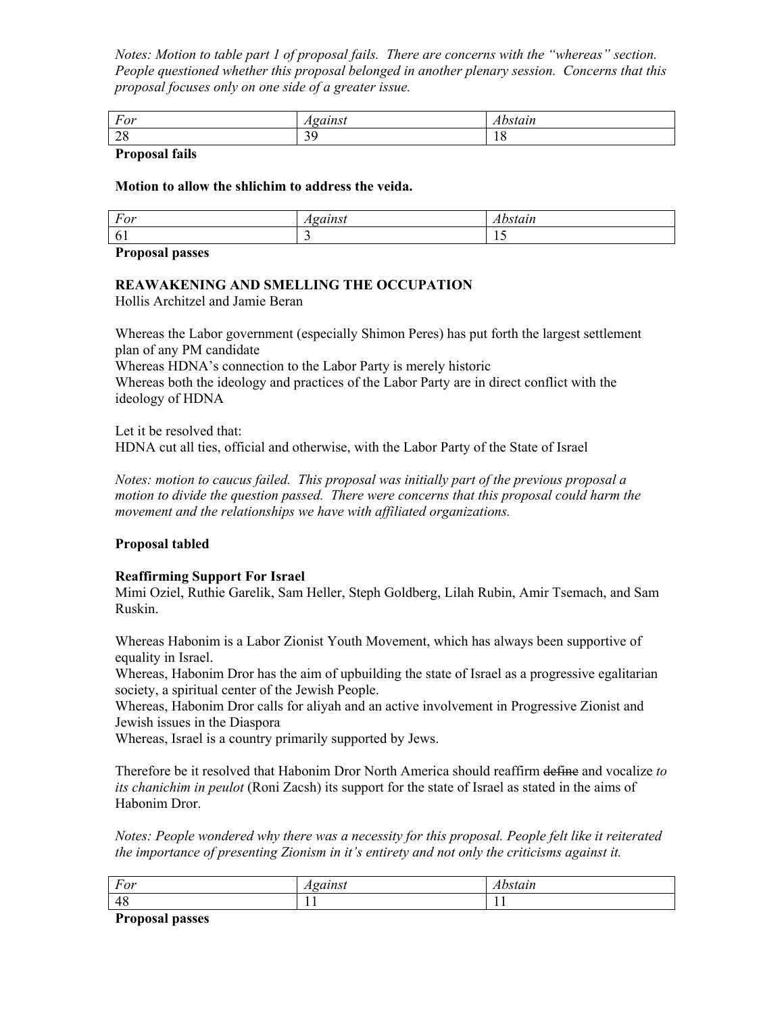*Notes: Motion to table part 1 of proposal fails. There are concerns with the "whereas" section. People questioned whether this proposal belonged in another plenary session. Concerns that this proposal focuses only on one side of a greater issue.*

| For                    | $\alpha$ in c<br>.<br>. | stain |
|------------------------|-------------------------|-------|
| $\Delta$ C<br>$\sim$ O | $\bigcap$<br>. .<br>ر ب | 1 U   |

### **Proposal fails**

### **Motion to allow the shlichim to address the veida.**

| For     | $\sim$ $\sim$ $\sim$<br>. . | ----<br><i>u</i> |
|---------|-----------------------------|------------------|
| А<br>v. |                             | . .              |

**Proposal passes** 

# **REAWAKENING AND SMELLING THE OCCUPATION**

Hollis Architzel and Jamie Beran

Whereas the Labor government (especially Shimon Peres) has put forth the largest settlement plan of any PM candidate

Whereas HDNA's connection to the Labor Party is merely historic Whereas both the ideology and practices of the Labor Party are in direct conflict with the

ideology of HDNA

Let it be resolved that: HDNA cut all ties, official and otherwise, with the Labor Party of the State of Israel

*Notes: motion to caucus failed. This proposal was initially part of the previous proposal a motion to divide the question passed. There were concerns that this proposal could harm the movement and the relationships we have with affiliated organizations.*

### **Proposal tabled**

### **Reaffirming Support For Israel**

Mimi Oziel, Ruthie Garelik, Sam Heller, Steph Goldberg, Lilah Rubin, Amir Tsemach, and Sam Ruskin.

Whereas Habonim is a Labor Zionist Youth Movement, which has always been supportive of equality in Israel.

Whereas, Habonim Dror has the aim of upbuilding the state of Israel as a progressive egalitarian society, a spiritual center of the Jewish People.

Whereas, Habonim Dror calls for aliyah and an active involvement in Progressive Zionist and Jewish issues in the Diaspora

Whereas, Israel is a country primarily supported by Jews.

Therefore be it resolved that Habonim Dror North America should reaffirm define and vocalize *to its chanichim in peulot* (Roni Zacsh) its support for the state of Israel as stated in the aims of Habonim Dror.

*Notes: People wondered why there was a necessity for this proposal. People felt like it reiterated*  the importance of presenting Zionism in it's entirety and not only the criticisms against it.

| $\mathbf{r}$<br>$H\cap V$<br>1'UI | $\sim$ $\alpha$ in $\alpha$ <sup>+</sup><br>، د، ۱<br>. | $\sim$ $\gamma$ $\gamma$ $\gamma$<br>suun<br>лu |
|-----------------------------------|---------------------------------------------------------|-------------------------------------------------|
| 48                                | . .                                                     | . .                                             |
| $\overline{\phantom{a}}$<br>$-$   |                                                         |                                                 |

**Proposal passes**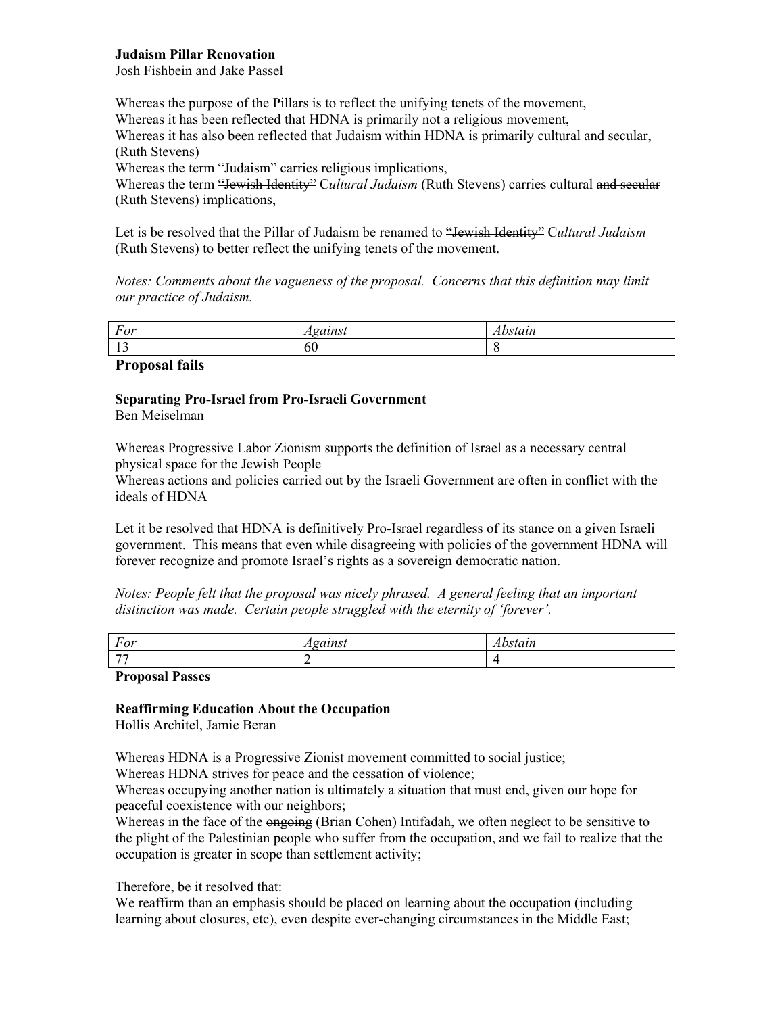### **Judaism Pillar Renovation**

Josh Fishbein and Jake Passel

Whereas the purpose of the Pillars is to reflect the unifying tenets of the movement, Whereas it has been reflected that HDNA is primarily not a religious movement, Whereas it has also been reflected that Judaism within HDNA is primarily cultural and secular, (Ruth Stevens) Whereas the term "Judaism" carries religious implications, Whereas the term "Jewish Identity" Cultural Judaism (Ruth Stevens) carries cultural and secular (Ruth Stevens) implications,

Let is be resolved that the Pillar of Judaism be renamed to "<del>Jewish Identity</del>" Cultural Judaism (Ruth Stevens) to better reflect the unifying tenets of the movement.

*Notes: Comments about the vagueness of the proposal. Concerns that this definition may limit our practice of Judaism.* 

| $\mathbf{r}$<br>For  | 20112001 | $\mathbf{r}$<br>suun |
|----------------------|----------|----------------------|
| $\sim$ $\sim$<br>. . | 60       |                      |

### **Proposal fails**

### **Separating Pro-Israel from Pro-Israeli Government**

Ben Meiselman

Whereas Progressive Labor Zionism supports the definition of Israel as a necessary central physical space for the Jewish People

Whereas actions and policies carried out by the Israeli Government are often in conflict with the ideals of HDNA

Let it be resolved that HDNA is definitively Pro-Israel regardless of its stance on a given Israeli government. This means that even while disagreeing with policies of the government HDNA will forever recognize and promote Israel's rights as a sovereign democratic nation.

*Notes: People felt that the proposal was nicely phrased. A general feeling that an important*  distinction was made. Certain people struggled with the eternity of 'forever'.

| For                              | -------<br>ww<br>$\overline{\phantom{a}}$ | ----<br>suun |
|----------------------------------|-------------------------------------------|--------------|
| $\overline{a}$                   |                                           | . .          |
| $ -$<br>$\overline{\phantom{a}}$ |                                           |              |

### **Proposal Passes**

### **Reaffirming Education About the Occupation**

Hollis Architel, Jamie Beran

Whereas HDNA is a Progressive Zionist movement committed to social justice;

Whereas HDNA strives for peace and the cessation of violence;

Whereas occupying another nation is ultimately a situation that must end, given our hope for peaceful coexistence with our neighbors;

Whereas in the face of the ongoing (Brian Cohen) Intifadah, we often neglect to be sensitive to the plight of the Palestinian people who suffer from the occupation, and we fail to realize that the occupation is greater in scope than settlement activity;

Therefore, be it resolved that:

We reaffirm than an emphasis should be placed on learning about the occupation (including learning about closures, etc), even despite ever-changing circumstances in the Middle East;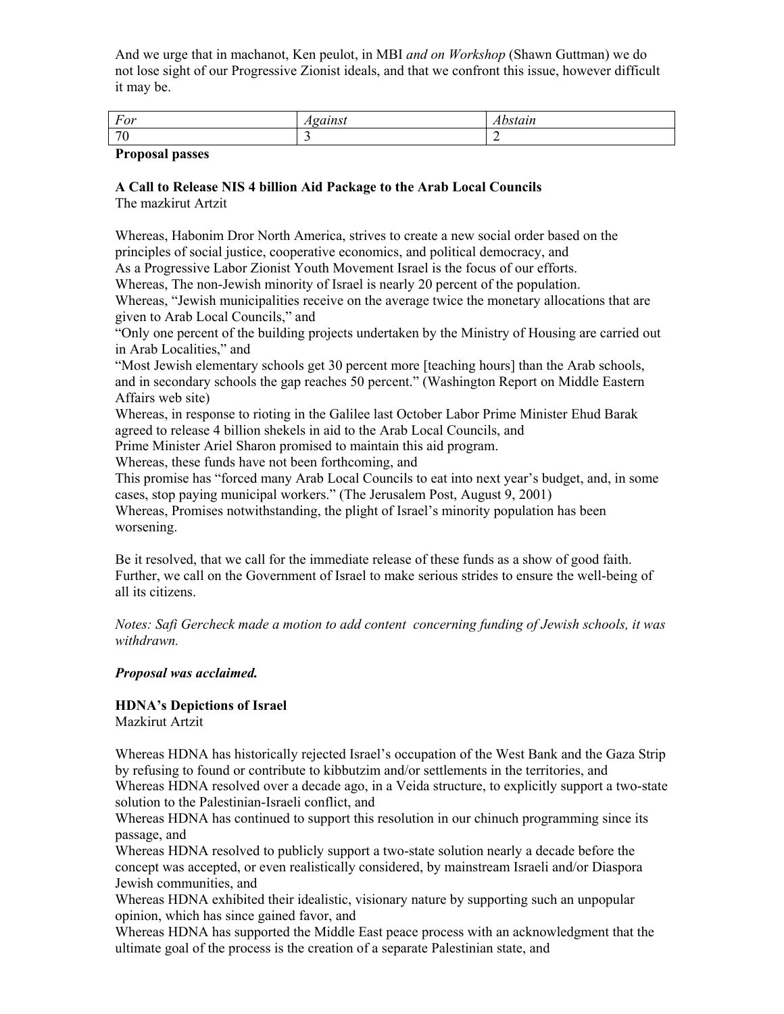And we urge that in machanot, Ken peulot, in MBI *and on Workshop* (Shawn Guttman) we do not lose sight of our Progressive Zionist ideals, and that we confront this issue, however difficult it may be.

| $\overline{\phantom{a}}$<br>For | 0111001 | .<br>uun |
|---------------------------------|---------|----------|
| $\overline{f}$                  |         | -        |

### **Proposal passes**

#### **A Call to Release NIS 4 billion Aid Package to the Arab Local Councils**  The mazkirut Artzit

Whereas, Habonim Dror North America, strives to create a new social order based on the principles of social justice, cooperative economics, and political democracy, and

As a Progressive Labor Zionist Youth Movement Israel is the focus of our efforts.

Whereas, The non-Jewish minority of Israel is nearly 20 percent of the population.

Whereas, "Jewish municipalities receive on the average twice the monetary allocations that are given to Arab Local Councils," and

ìOnly one percent of the building projects undertaken by the Ministry of Housing are carried out in Arab Localities," and

ìMost Jewish elementary schools get 30 percent more [teaching hours] than the Arab schools, and in secondary schools the gap reaches 50 percent." (Washington Report on Middle Eastern Affairs web site)

Whereas, in response to rioting in the Galilee last October Labor Prime Minister Ehud Barak agreed to release 4 billion shekels in aid to the Arab Local Councils, and

Prime Minister Ariel Sharon promised to maintain this aid program.

Whereas, these funds have not been forthcoming, and

This promise has "forced many Arab Local Councils to eat into next year's budget, and, in some cases, stop paying municipal workers." (The Jerusalem Post, August 9, 2001)

Whereas, Promises notwithstanding, the plight of Israel's minority population has been worsening.

Be it resolved, that we call for the immediate release of these funds as a show of good faith. Further, we call on the Government of Israel to make serious strides to ensure the well-being of all its citizens.

*Notes: Safi Gercheck made a motion to add content concerning funding of Jewish schools, it was withdrawn.* 

### *Proposal was acclaimed.*

# **HDNA's Depictions of Israel**

Mazkirut Artzit

Whereas HDNA has historically rejected Israel's occupation of the West Bank and the Gaza Strip by refusing to found or contribute to kibbutzim and/or settlements in the territories, and Whereas HDNA resolved over a decade ago, in a Veida structure, to explicitly support a two-state solution to the Palestinian-Israeli conflict, and

Whereas HDNA has continued to support this resolution in our chinuch programming since its passage, and

Whereas HDNA resolved to publicly support a two-state solution nearly a decade before the concept was accepted, or even realistically considered, by mainstream Israeli and/or Diaspora Jewish communities, and

Whereas HDNA exhibited their idealistic, visionary nature by supporting such an unpopular opinion, which has since gained favor, and

Whereas HDNA has supported the Middle East peace process with an acknowledgment that the ultimate goal of the process is the creation of a separate Palestinian state, and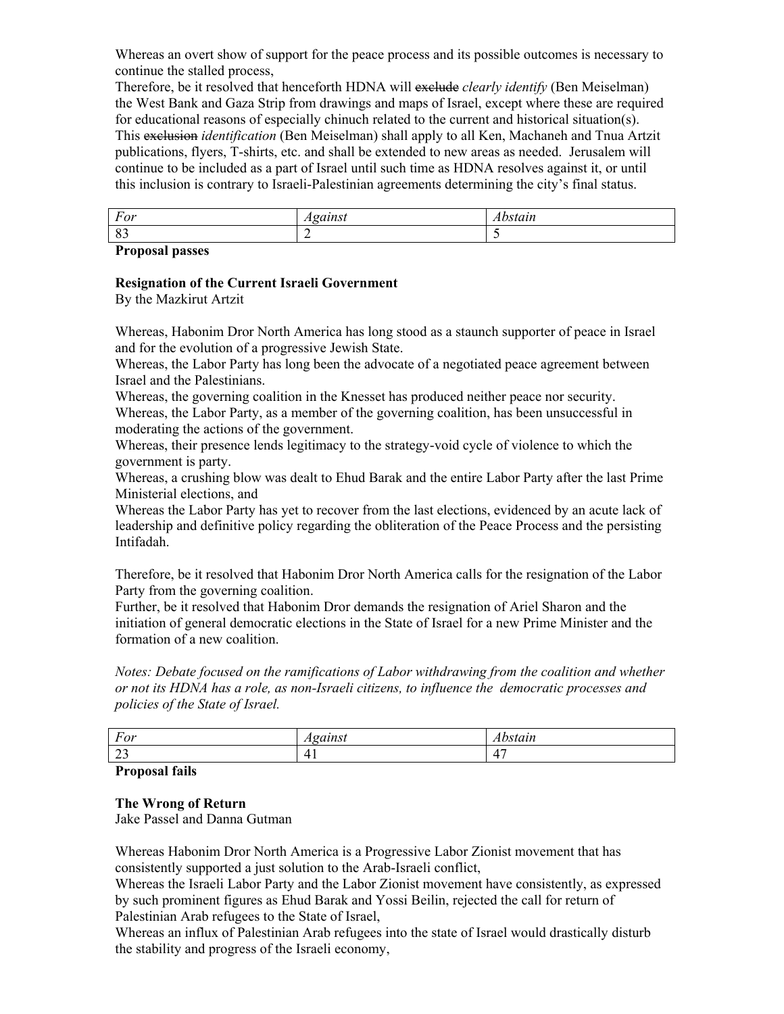Whereas an overt show of support for the peace process and its possible outcomes is necessary to continue the stalled process,

Therefore, be it resolved that henceforth HDNA will exclude *clearly identify* (Ben Meiselman) the West Bank and Gaza Strip from drawings and maps of Israel, except where these are required for educational reasons of especially chinuch related to the current and historical situation(s). This exclusion *identification* (Ben Meiselman) shall apply to all Ken, Machaneh and Tnua Artzit publications, flyers, T-shirts, etc. and shall be extended to new areas as needed. Jerusalem will continue to be included as a part of Israel until such time as HDNA resolves against it, or until this inclusion is contrary to Israeli-Palestinian agreements determining the city's final status.

| T<br>For<br>$\mathbf{I}$ | .<br>. |
|--------------------------|--------|
| . റ⁄<br>ັບ               |        |

**Proposal passes** 

### **Resignation of the Current Israeli Government**

By the Mazkirut Artzit

Whereas, Habonim Dror North America has long stood as a staunch supporter of peace in Israel and for the evolution of a progressive Jewish State.

Whereas, the Labor Party has long been the advocate of a negotiated peace agreement between Israel and the Palestinians.

Whereas, the governing coalition in the Knesset has produced neither peace nor security. Whereas, the Labor Party, as a member of the governing coalition, has been unsuccessful in moderating the actions of the government.

Whereas, their presence lends legitimacy to the strategy-void cycle of violence to which the government is party.

Whereas, a crushing blow was dealt to Ehud Barak and the entire Labor Party after the last Prime Ministerial elections, and

Whereas the Labor Party has yet to recover from the last elections, evidenced by an acute lack of leadership and definitive policy regarding the obliteration of the Peace Process and the persisting Intifadah.

Therefore, be it resolved that Habonim Dror North America calls for the resignation of the Labor Party from the governing coalition.

Further, be it resolved that Habonim Dror demands the resignation of Ariel Sharon and the initiation of general democratic elections in the State of Israel for a new Prime Minister and the formation of a new coalition.

*Notes: Debate focused on the ramifications of Labor withdrawing from the coalition and whether or not its HDNA has a role, as non-Israeli citizens, to influence the democratic processes and policies of the State of Israel.* 

| $\mathbf{r}$<br>For | $-20.722222$<br>$\overline{\phantom{a}}$<br>. . | <b>***</b><br>suun |
|---------------------|-------------------------------------------------|--------------------|
| $\sim$              | 4 <sub>1</sub>                                  | $\overline{a}$     |
| ر_                  |                                                 | ᅭ                  |

### **Proposal fails**

### **The Wrong of Return**

Jake Passel and Danna Gutman

Whereas Habonim Dror North America is a Progressive Labor Zionist movement that has consistently supported a just solution to the Arab-Israeli conflict,

Whereas the Israeli Labor Party and the Labor Zionist movement have consistently, as expressed by such prominent figures as Ehud Barak and Yossi Beilin, rejected the call for return of Palestinian Arab refugees to the State of Israel,

Whereas an influx of Palestinian Arab refugees into the state of Israel would drastically disturb the stability and progress of the Israeli economy,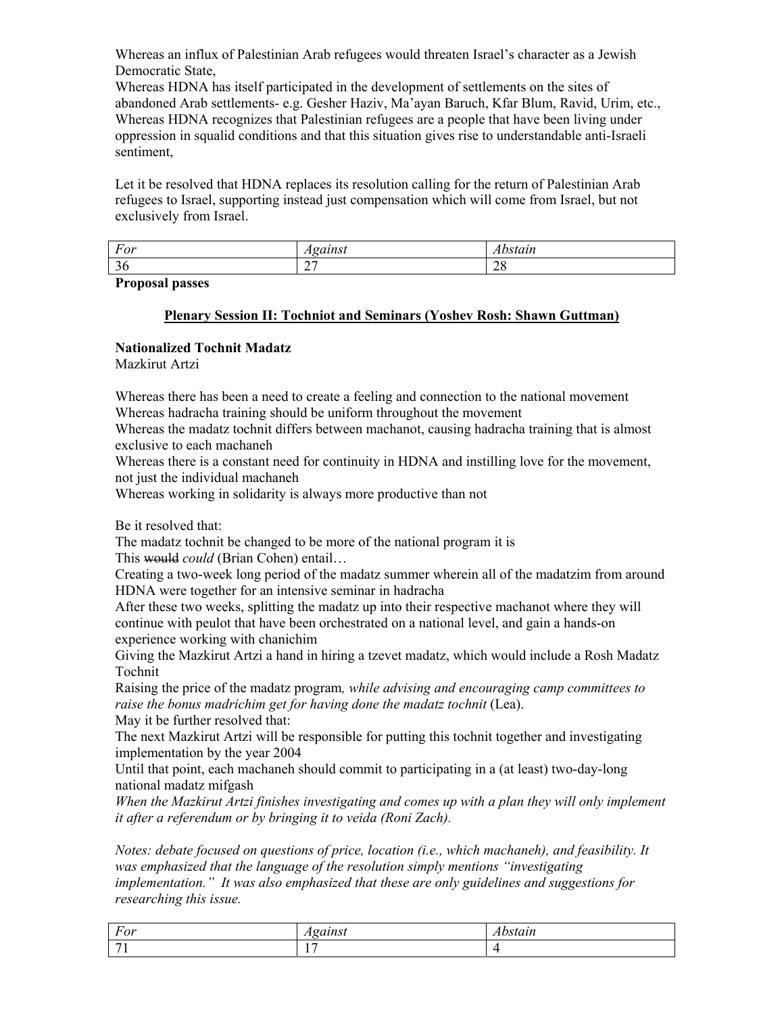Whereas an influx of Palestinian Arab refugees would threaten Israel's character as a Jewish Democratic State,

Whereas HDNA has itself participated in the development of settlements on the sites of abandoned Arab settlements- e.g. Gesher Haziv, Maíayan Baruch, Kfar Blum, Ravid, Urim, etc., Whereas HDNA recognizes that Palestinian refugees are a people that have been living under oppression in squalid conditions and that this situation gives rise to understandable anti-Israeli sentiment,

Let it be resolved that HDNA replaces its resolution calling for the return of Palestinian Arab refugees to Israel, supporting instead just compensation which will come from Israel, but not exclusively from Israel.

| $H \cap V$<br>T'UI | 0.777001 | C111<br>.                   |
|--------------------|----------|-----------------------------|
| ◡                  | ---      | $\cap$ $\cap$<br>$\angle 0$ |

### **Proposal passes**

## **Plenary Session II: Tochniot and Seminars (Yoshev Rosh: Shawn Guttman)**

### **Nationalized Tochnit Madatz**

Mazkirut Artzi

Whereas there has been a need to create a feeling and connection to the national movement Whereas hadracha training should be uniform throughout the movement

Whereas the madatz tochnit differs between machanot, causing hadracha training that is almost exclusive to each machaneh

Whereas there is a constant need for continuity in HDNA and instilling love for the movement, not just the individual machaneh

Whereas working in solidarity is always more productive than not

Be it resolved that:

The madatz tochnit be changed to be more of the national program it is

This would *could* (Brian Cohen) entail...

Creating a two-week long period of the madatz summer wherein all of the madatzim from around HDNA were together for an intensive seminar in hadracha

After these two weeks, splitting the madatz up into their respective machanot where they will continue with peulot that have been orchestrated on a national level, and gain a hands-on experience working with chanichim

Giving the Mazkirut Artzi a hand in hiring a tzevet madatz, which would include a Rosh Madatz Tochnit

Raising the price of the madatz program*, while advising and encouraging camp committees to*  raise the bonus madrichim get for having done the madatz tochnit (Lea).

May it be further resolved that:

The next Mazkirut Artzi will be responsible for putting this tochnit together and investigating implementation by the year 2004

Until that point, each machaneh should commit to participating in a (at least) two-day-long national madatz mifgash

*When the Mazkirut Artzi finishes investigating and comes up with a plan they will only implement it after a referendum or by bringing it to veida (Roni Zach).* 

*Notes: debate focused on questions of price, location (i.e., which machaneh), and feasibility. It*  was emphasized that the language of the resolution simply mentions "investigating *implementation.î It was also emphasized that these are only guidelines and suggestions for researching this issue.*

| For | $-$                      | .<br>uu. |
|-----|--------------------------|----------|
|     | $\overline{\phantom{a}}$ |          |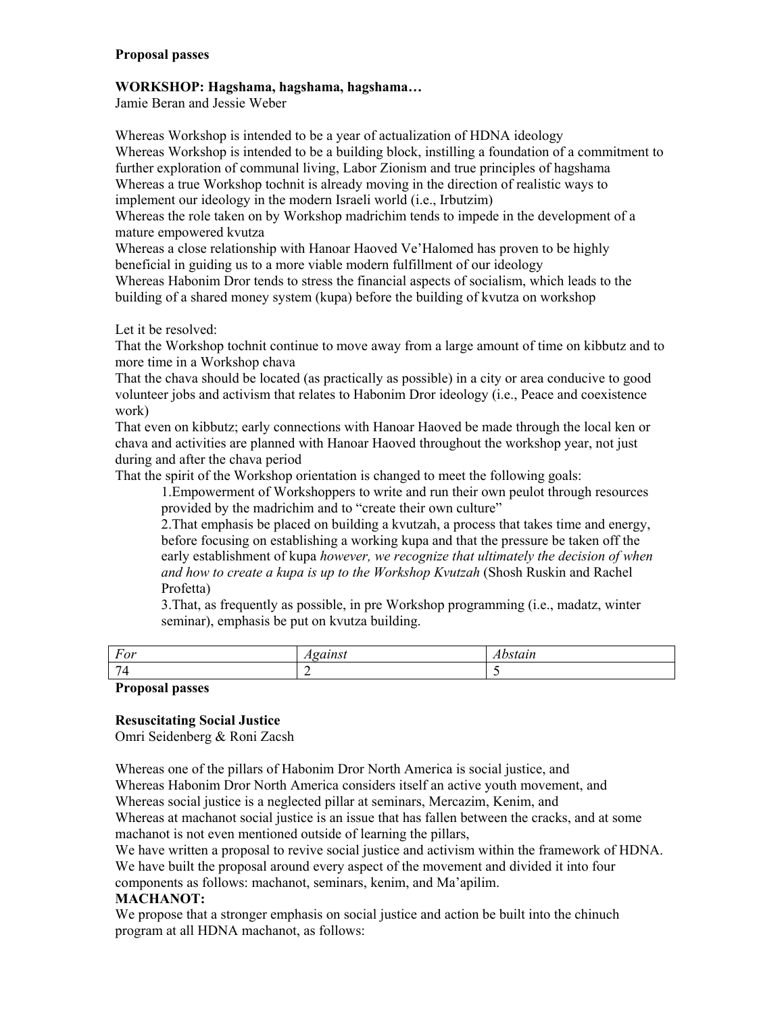### **Proposal passes**

### **WORKSHOP: Hagshama, hagshama, hagshama...**

Jamie Beran and Jessie Weber

Whereas Workshop is intended to be a year of actualization of HDNA ideology Whereas Workshop is intended to be a building block, instilling a foundation of a commitment to further exploration of communal living, Labor Zionism and true principles of hagshama Whereas a true Workshop tochnit is already moving in the direction of realistic ways to implement our ideology in the modern Israeli world (i.e., Irbutzim)

Whereas the role taken on by Workshop madrichim tends to impede in the development of a mature empowered kvutza

Whereas a close relationship with Hanoar Haoved Ve'Halomed has proven to be highly beneficial in guiding us to a more viable modern fulfillment of our ideology

Whereas Habonim Dror tends to stress the financial aspects of socialism, which leads to the building of a shared money system (kupa) before the building of kvutza on workshop

Let it be resolved:

That the Workshop tochnit continue to move away from a large amount of time on kibbutz and to more time in a Workshop chava

That the chava should be located (as practically as possible) in a city or area conducive to good volunteer jobs and activism that relates to Habonim Dror ideology (i.e., Peace and coexistence work)

That even on kibbutz; early connections with Hanoar Haoved be made through the local ken or chava and activities are planned with Hanoar Haoved throughout the workshop year, not just during and after the chava period

That the spirit of the Workshop orientation is changed to meet the following goals:

1.Empowerment of Workshoppers to write and run their own peulot through resources provided by the madrichim and to "create their own culture"

2.That emphasis be placed on building a kvutzah, a process that takes time and energy, before focusing on establishing a working kupa and that the pressure be taken off the early establishment of kupa *however, we recognize that ultimately the decision of when and how to create a kupa is up to the Workshop Kvutzah* (Shosh Ruskin and Rachel Profetta)

3.That, as frequently as possible, in pre Workshop programming (i.e., madatz, winter seminar), emphasis be put on kvutza building.

| For                                                  | $\alpha$ ainst<br>ullist <sub>-</sub><br>. | `stain |
|------------------------------------------------------|--------------------------------------------|--------|
| $\sim$                                               |                                            |        |
| $\overline{\phantom{a}}$<br>$\overline{\phantom{a}}$ |                                            |        |

**Proposal passes** 

### **Resuscitating Social Justice**

Omri Seidenberg & Roni Zacsh

Whereas one of the pillars of Habonim Dror North America is social justice, and Whereas Habonim Dror North America considers itself an active youth movement, and Whereas social justice is a neglected pillar at seminars, Mercazim, Kenim, and Whereas at machanot social justice is an issue that has fallen between the cracks, and at some machanot is not even mentioned outside of learning the pillars,

We have written a proposal to revive social justice and activism within the framework of HDNA. We have built the proposal around every aspect of the movement and divided it into four

components as follows: machanot, seminars, kenim, and Ma'apilim.

### **MACHANOT:**

We propose that a stronger emphasis on social justice and action be built into the chinuch program at all HDNA machanot, as follows: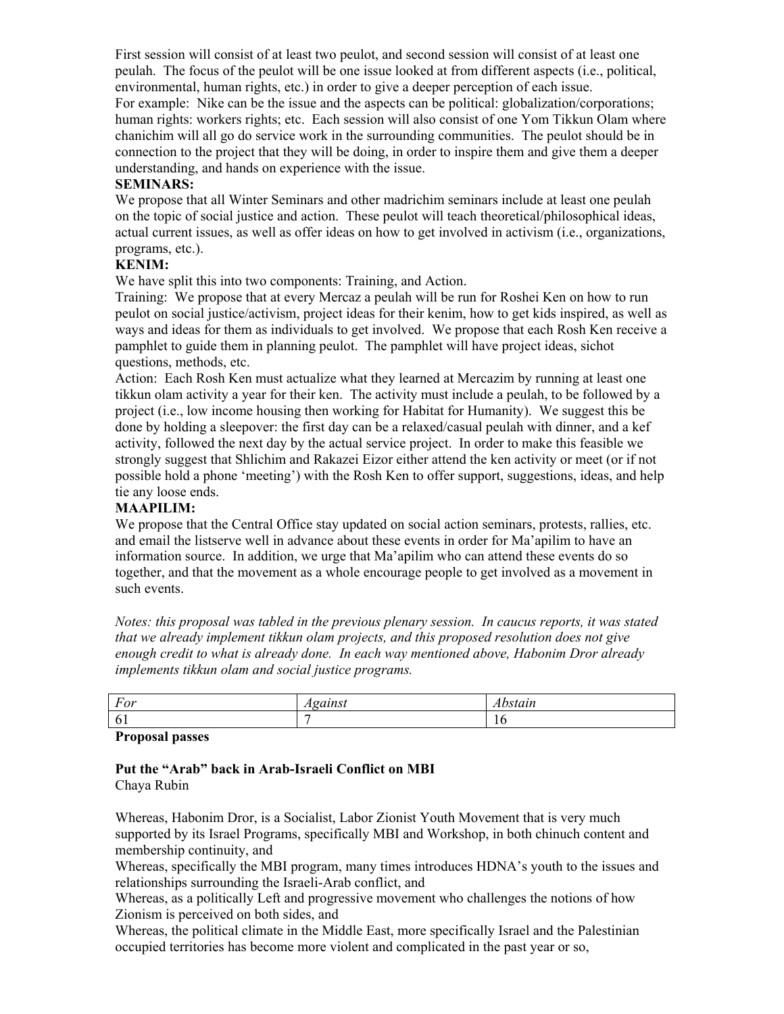First session will consist of at least two peulot, and second session will consist of at least one peulah. The focus of the peulot will be one issue looked at from different aspects (i.e., political, environmental, human rights, etc.) in order to give a deeper perception of each issue. For example: Nike can be the issue and the aspects can be political: globalization/corporations; human rights: workers rights; etc. Each session will also consist of one Yom Tikkun Olam where chanichim will all go do service work in the surrounding communities. The peulot should be in connection to the project that they will be doing, in order to inspire them and give them a deeper understanding, and hands on experience with the issue.

### **SEMINARS:**

We propose that all Winter Seminars and other madrichim seminars include at least one peulah on the topic of social justice and action. These peulot will teach theoretical/philosophical ideas, actual current issues, as well as offer ideas on how to get involved in activism (i.e., organizations, programs, etc.).

### **KENIM:**

We have split this into two components: Training, and Action.

Training: We propose that at every Mercaz a peulah will be run for Roshei Ken on how to run peulot on social justice/activism, project ideas for their kenim, how to get kids inspired, as well as ways and ideas for them as individuals to get involved. We propose that each Rosh Ken receive a pamphlet to guide them in planning peulot. The pamphlet will have project ideas, sichot questions, methods, etc.

Action: Each Rosh Ken must actualize what they learned at Mercazim by running at least one tikkun olam activity a year for their ken. The activity must include a peulah, to be followed by a project (i.e., low income housing then working for Habitat for Humanity). We suggest this be done by holding a sleepover: the first day can be a relaxed/casual peulah with dinner, and a kef activity, followed the next day by the actual service project. In order to make this feasible we strongly suggest that Shlichim and Rakazei Eizor either attend the ken activity or meet (or if not possible hold a phone 'meeting') with the Rosh Ken to offer support, suggestions, ideas, and help tie any loose ends.

# **MAAPILIM:**

We propose that the Central Office stay updated on social action seminars, protests, rallies, etc. and email the listserve well in advance about these events in order for Ma'apilim to have an information source. In addition, we urge that Ma'apilim who can attend these events do so together, and that the movement as a whole encourage people to get involved as a movement in such events.

*Notes: this proposal was tabled in the previous plenary session. In caucus reports, it was stated that we already implement tikkun olam projects, and this proposed resolution does not give enough credit to what is already done. In each way mentioned above, Habonim Dror already implements tikkun olam and social justice programs.* 

| For     | - 23 3 3 4 2 3<br>zuinsi<br>. | $\sim$ $\sim$ $\sim$ $\sim$ $\sim$<br>ADStain |
|---------|-------------------------------|-----------------------------------------------|
| L<br>v. |                               | 1 V                                           |

**Proposal passes** 

#### Put the "Arab" back in Arab-Israeli Conflict on MBI Chaya Rubin

Whereas, Habonim Dror, is a Socialist, Labor Zionist Youth Movement that is very much supported by its Israel Programs, specifically MBI and Workshop, in both chinuch content and membership continuity, and

Whereas, specifically the MBI program, many times introduces HDNA's youth to the issues and relationships surrounding the Israeli-Arab conflict, and

Whereas, as a politically Left and progressive movement who challenges the notions of how Zionism is perceived on both sides, and

Whereas, the political climate in the Middle East, more specifically Israel and the Palestinian occupied territories has become more violent and complicated in the past year or so,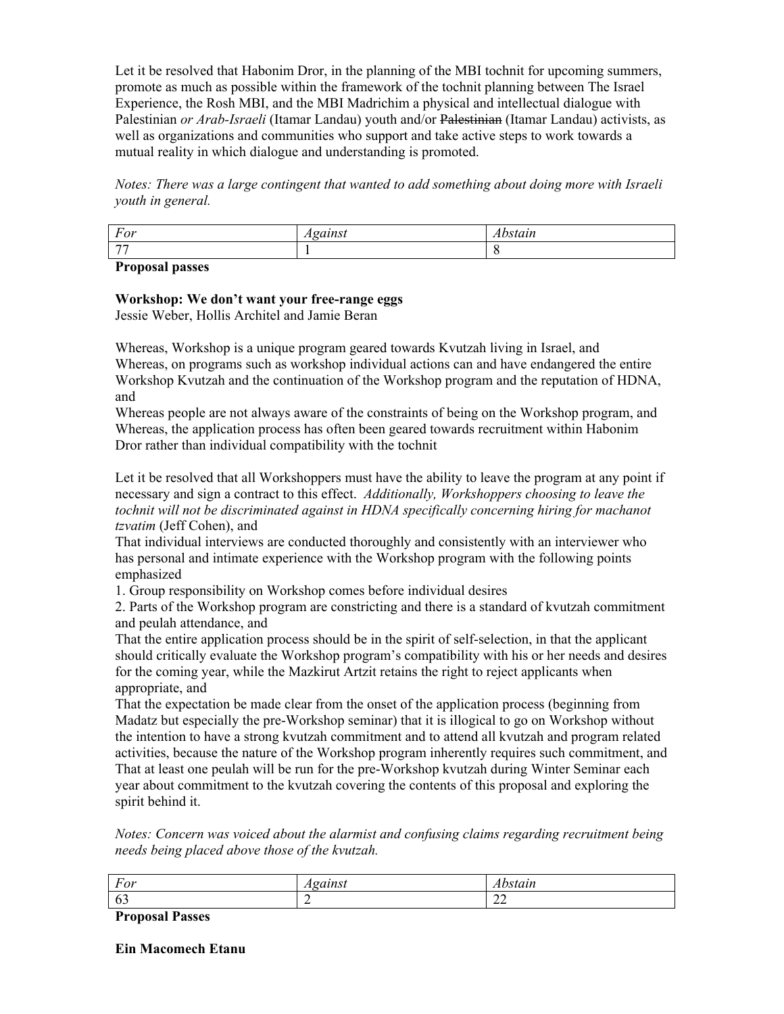Let it be resolved that Habonim Dror, in the planning of the MBI tochnit for upcoming summers, promote as much as possible within the framework of the tochnit planning between The Israel Experience, the Rosh MBI, and the MBI Madrichim a physical and intellectual dialogue with Palestinian *or Arab-Israeli* (Itamar Landau) youth and/or Palestinian (Itamar Landau) activists, as well as organizations and communities who support and take active steps to work towards a mutual reality in which dialogue and understanding is promoted.

*Notes: There was a large contingent that wanted to add something about doing more with Israeli youth in general.* 

| For            | $-20.722222$<br>. | $-$<br>. |
|----------------|-------------------|----------|
| $\overline{a}$ |                   | . .      |

**Proposal passes** 

# **Workshop: We don't want your free-range eggs**

Jessie Weber, Hollis Architel and Jamie Beran

Whereas, Workshop is a unique program geared towards Kvutzah living in Israel, and Whereas, on programs such as workshop individual actions can and have endangered the entire Workshop Kvutzah and the continuation of the Workshop program and the reputation of HDNA, and

Whereas people are not always aware of the constraints of being on the Workshop program, and Whereas, the application process has often been geared towards recruitment within Habonim Dror rather than individual compatibility with the tochnit

Let it be resolved that all Workshoppers must have the ability to leave the program at any point if necessary and sign a contract to this effect. *Additionally, Workshoppers choosing to leave the tochnit will not be discriminated against in HDNA specifically concerning hiring for machanot tzvatim* (Jeff Cohen), and

That individual interviews are conducted thoroughly and consistently with an interviewer who has personal and intimate experience with the Workshop program with the following points emphasized

1. Group responsibility on Workshop comes before individual desires

2. Parts of the Workshop program are constricting and there is a standard of kvutzah commitment and peulah attendance, and

That the entire application process should be in the spirit of self-selection, in that the applicant should critically evaluate the Workshop program's compatibility with his or her needs and desires for the coming year, while the Mazkirut Artzit retains the right to reject applicants when appropriate, and

That the expectation be made clear from the onset of the application process (beginning from Madatz but especially the pre-Workshop seminar) that it is illogical to go on Workshop without the intention to have a strong kvutzah commitment and to attend all kvutzah and program related activities, because the nature of the Workshop program inherently requires such commitment, and That at least one peulah will be run for the pre-Workshop kvutzah during Winter Seminar each year about commitment to the kvutzah covering the contents of this proposal and exploring the spirit behind it.

*Notes: Concern was voiced about the alarmist and confusing claims regarding recruitment being needs being placed above those of the kvutzah.* 

| $\sim$ $-$<br>. v. | <br>.              |
|--------------------|--------------------|
| - V -              | . .<br>$\sim$<br>∸ |

**Proposal Passes** 

**Ein Macomech Etanu**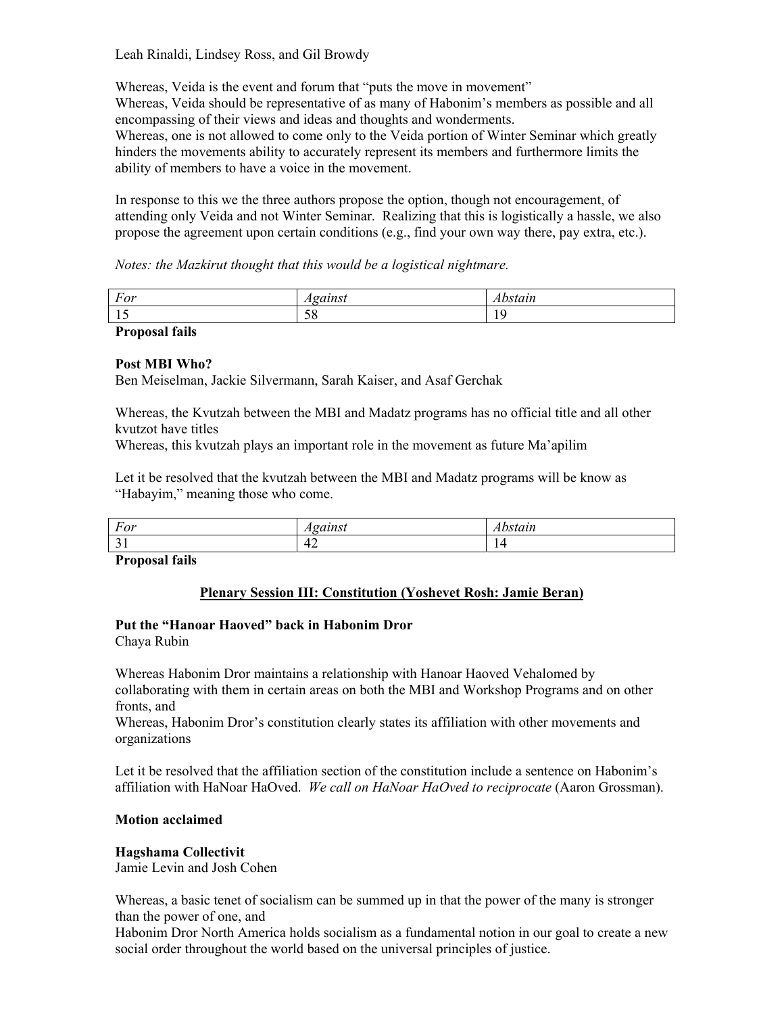Leah Rinaldi, Lindsey Ross, and Gil Browdy

Whereas, Veida is the event and forum that "puts the move in movement" Whereas, Veida should be representative of as many of Habonim's members as possible and all encompassing of their views and ideas and thoughts and wonderments. Whereas, one is not allowed to come only to the Veida portion of Winter Seminar which greatly hinders the movements ability to accurately represent its members and furthermore limits the ability of members to have a voice in the movement.

In response to this we the three authors propose the option, though not encouragement, of attending only Veida and not Winter Seminar. Realizing that this is logistically a hassle, we also propose the agreement upon certain conditions (e.g., find your own way there, pay extra, etc.).

*Notes: the Mazkirut thought that this would be a logistical nightmare.* 

| For                             | - 01 1 1 0 1 1<br>zuinsi<br>41 C | $\alpha$ 11<br>suun |
|---------------------------------|----------------------------------|---------------------|
| $\overline{\phantom{a}}$<br>∸ ∸ | 5 O<br>IJΟ                       |                     |
| 1 e •1<br>$\blacksquare$        |                                  |                     |

# **Proposal fails**

### **Post MBI Who?**

Ben Meiselman, Jackie Silvermann, Sarah Kaiser, and Asaf Gerchak

Whereas, the Kvutzah between the MBI and Madatz programs has no official title and all other kvutzot have titles

Whereas, this kvutzah plays an important role in the movement as future Ma'apilim

Let it be resolved that the kvutzah between the MBI and Madatz programs will be know as "Habayim," meaning those who come.

| For | $-2$<br>. .                   | $-2.7.7$<br>,,,,,,, |
|-----|-------------------------------|---------------------|
| - - | $\epsilon$<br>,,<br>. .<br>∸≁ | л.                  |

**Proposal fails** 

### **Plenary Session III: Constitution (Yoshevet Rosh: Jamie Beran)**

### Put the "Hanoar Haoved" back in Habonim Dror

Chaya Rubin

Whereas Habonim Dror maintains a relationship with Hanoar Haoved Vehalomed by collaborating with them in certain areas on both the MBI and Workshop Programs and on other fronts, and

Whereas, Habonim Dror's constitution clearly states its affiliation with other movements and organizations

Let it be resolved that the affiliation section of the constitution include a sentence on Habonim's affiliation with HaNoar HaOved. *We call on HaNoar HaOved to reciprocate* (Aaron Grossman).

### **Motion acclaimed**

### **Hagshama Collectivit**

Jamie Levin and Josh Cohen

Whereas, a basic tenet of socialism can be summed up in that the power of the many is stronger than the power of one, and

Habonim Dror North America holds socialism as a fundamental notion in our goal to create a new social order throughout the world based on the universal principles of justice.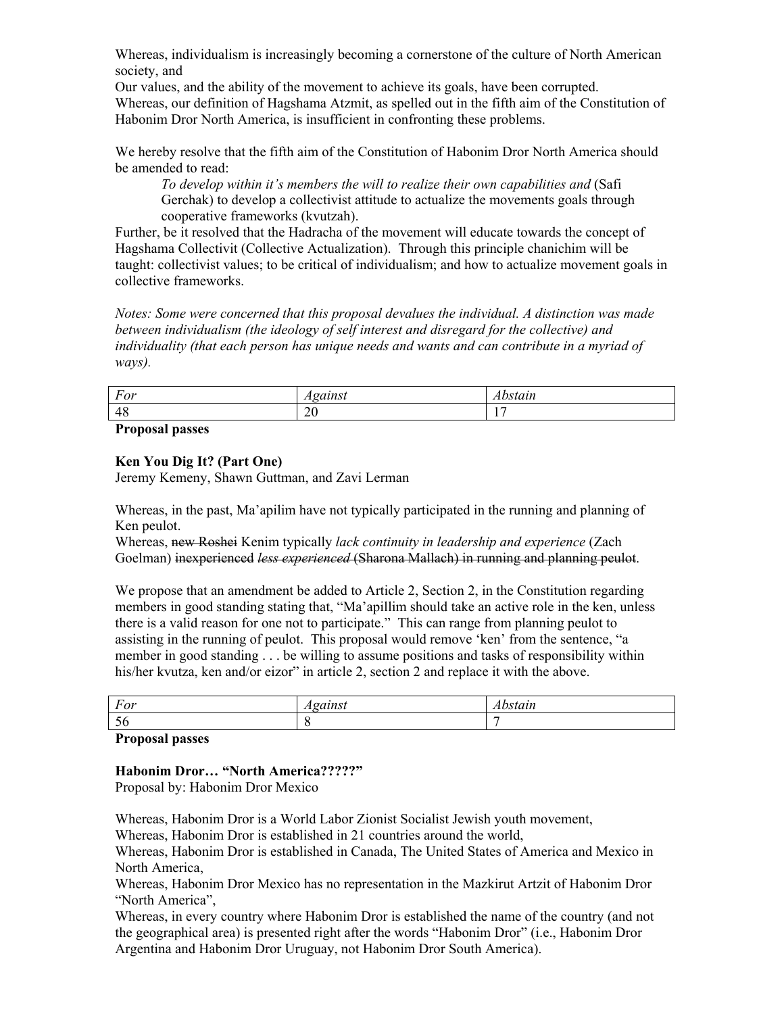Whereas, individualism is increasingly becoming a cornerstone of the culture of North American society, and

Our values, and the ability of the movement to achieve its goals, have been corrupted. Whereas, our definition of Hagshama Atzmit, as spelled out in the fifth aim of the Constitution of Habonim Dror North America, is insufficient in confronting these problems.

We hereby resolve that the fifth aim of the Constitution of Habonim Dror North America should be amended to read:

To develop within it's members the will to realize their own capabilities and (Safi Gerchak) to develop a collectivist attitude to actualize the movements goals through cooperative frameworks (kvutzah).

Further, be it resolved that the Hadracha of the movement will educate towards the concept of Hagshama Collectivit (Collective Actualization). Through this principle chanichim will be taught: collectivist values; to be critical of individualism; and how to actualize movement goals in collective frameworks.

*Notes: Some were concerned that this proposal devalues the individual. A distinction was made between individualism (the ideology of self interest and disregard for the collective) and individuality (that each person has unique needs and wants and can contribute in a myriad of ways).* 

| For              | $-1 - 1 - 1$ | 2774 |
|------------------|--------------|------|
| .                | uunsi        | suun |
| 48<br>$\Delta$ c | ∠∪           | . .  |

**Proposal passes** 

### **Ken You Dig It? (Part One)**

Jeremy Kemeny, Shawn Guttman, and Zavi Lerman

Whereas, in the past, Ma'apilim have not typically participated in the running and planning of Ken peulot.

Whereas, new Roshei Kenim typically *lack continuity in leadership and experience* (Zach Goelman) inexperienced *less experienced* (Sharona Mallach) in running and planning peulot.

We propose that an amendment be added to Article 2, Section 2, in the Constitution regarding members in good standing stating that, "Ma'apillim should take an active role in the ken, unless there is a valid reason for one not to participate." This can range from planning peulot to assisting in the running of peulot. This proposal would remove 'ken' from the sentence, "a member in good standing . . . be willing to assume positions and tasks of responsibility within his/her kvutza, ken and/or eizor" in article 2, section 2 and replace it with the above.

| $\overline{\phantom{0}}$<br>For | $-$<br>,,,,<br>. . | $-1$<br>iuu |
|---------------------------------|--------------------|-------------|
| -<br>IJΩ                        |                    |             |

**Proposal passes** 

**Habonim Dror... "North America??????"** Proposal by: Habonim Dror Mexico

Whereas, Habonim Dror is a World Labor Zionist Socialist Jewish youth movement,

Whereas, Habonim Dror is established in 21 countries around the world,

Whereas, Habonim Dror is established in Canada, The United States of America and Mexico in North America,

Whereas, Habonim Dror Mexico has no representation in the Mazkirut Artzit of Habonim Dror "North America",

Whereas, in every country where Habonim Dror is established the name of the country (and not the geographical area) is presented right after the words "Habonim Dror" (i.e., Habonim Dror Argentina and Habonim Dror Uruguay, not Habonim Dror South America).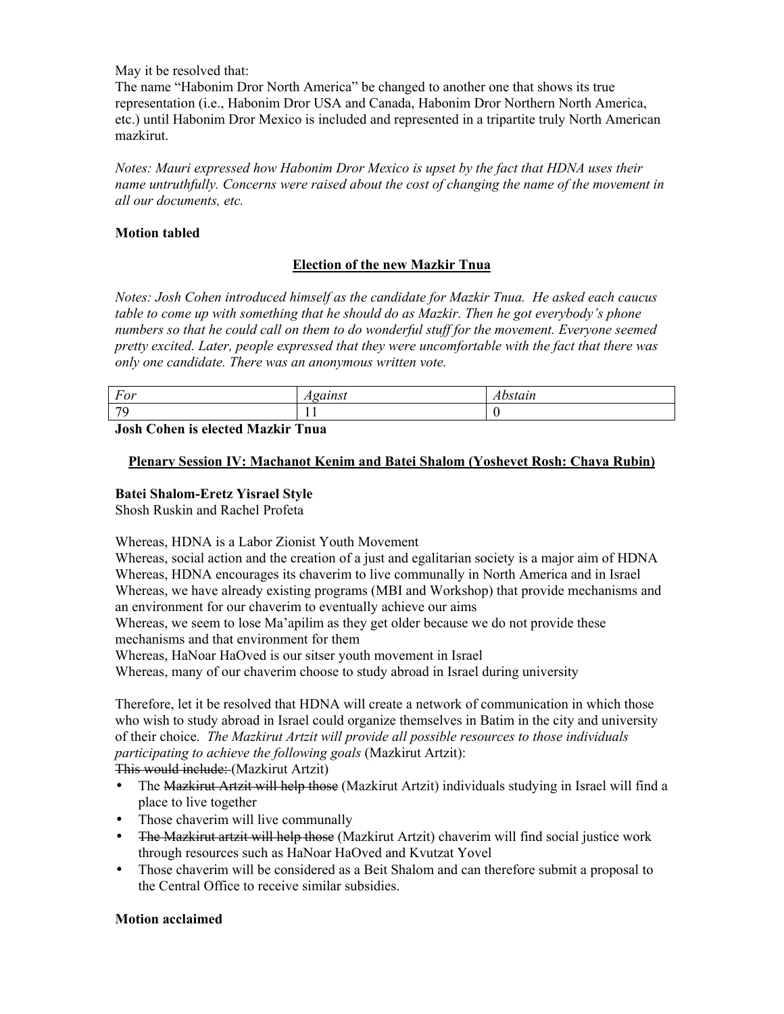May it be resolved that:

The name "Habonim Dror North America" be changed to another one that shows its true representation (i.e., Habonim Dror USA and Canada, Habonim Dror Northern North America, etc.) until Habonim Dror Mexico is included and represented in a tripartite truly North American mazkirut.

*Notes: Mauri expressed how Habonim Dror Mexico is upset by the fact that HDNA uses their name untruthfully. Concerns were raised about the cost of changing the name of the movement in all our documents, etc.* 

# **Motion tabled**

# **Election of the new Mazkir Tnua**

*Notes: Josh Cohen introduced himself as the candidate for Mazkir Tnua. He asked each caucus table to come up with something that he should do as Mazkir. Then he got everybodyís phone numbers so that he could call on them to do wonderful stuff for the movement. Everyone seemed pretty excited. Later, people expressed that they were uncomfortable with the fact that there was only one candidate. There was an anonymous written vote.* 

| For | ------<br>auwi<br>-4-4 | C111<br>wstain |
|-----|------------------------|----------------|
| 70  | . .                    |                |
| .   |                        |                |

**Josh Cohen is elected Mazkir Tnua** 

## **Plenary Session IV: Machanot Kenim and Batei Shalom (Yoshevet Rosh: Chaya Rubin)**

## **Batei Shalom-Eretz Yisrael Style**

Shosh Ruskin and Rachel Profeta

Whereas, HDNA is a Labor Zionist Youth Movement

Whereas, social action and the creation of a just and egalitarian society is a major aim of HDNA Whereas, HDNA encourages its chaverim to live communally in North America and in Israel Whereas, we have already existing programs (MBI and Workshop) that provide mechanisms and an environment for our chaverim to eventually achieve our aims

Whereas, we seem to lose Ma'apilim as they get older because we do not provide these mechanisms and that environment for them

Whereas, HaNoar HaOved is our sitser youth movement in Israel

Whereas, many of our chaverim choose to study abroad in Israel during university

Therefore, let it be resolved that HDNA will create a network of communication in which those who wish to study abroad in Israel could organize themselves in Batim in the city and university of their choice. *The Mazkirut Artzit will provide all possible resources to those individuals participating to achieve the following goals* (Mazkirut Artzit):

This would include: (Mazkirut Artzit)

- The Mazkirut Artzit will help those (Mazkirut Artzit) individuals studying in Israel will find a place to live together
- Those chaverim will live communally
- The Mazkirut artzit will help those (Mazkirut Artzit) chaverim will find social justice work through resources such as HaNoar HaOved and Kvutzat Yovel
- Those chaverim will be considered as a Beit Shalom and can therefore submit a proposal to the Central Office to receive similar subsidies.

# **Motion acclaimed**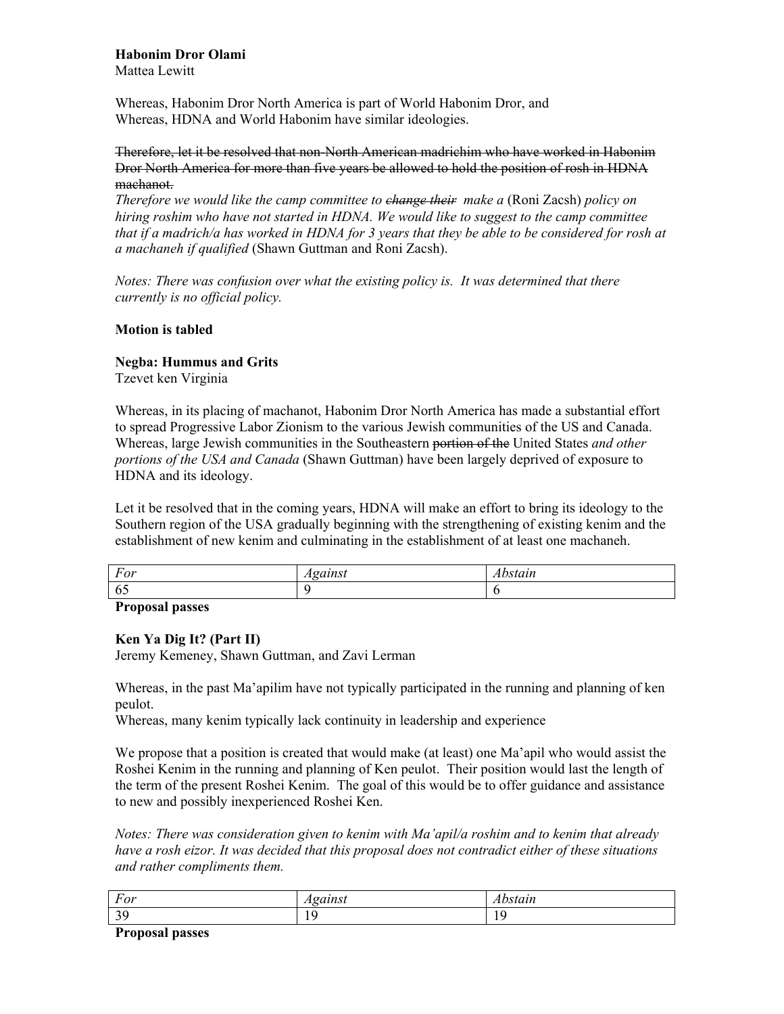# **Habonim Dror Olami**

Mattea Lewitt

Whereas, Habonim Dror North America is part of World Habonim Dror, and Whereas, HDNA and World Habonim have similar ideologies.

### Therefore, let it be resolved that non-North American madrichim who have worked in Habonim Dror North America for more than five years be allowed to hold the position of rosh in HDNA machanot.

*Therefore we would like the camp committee to <del>change their</del> make a (Roni Zacsh) policy on hiring roshim who have not started in HDNA. We would like to suggest to the camp committee that if a madrich/a has worked in HDNA for 3 years that they be able to be considered for rosh at a machaneh if qualified* (Shawn Guttman and Roni Zacsh).

*Notes: There was confusion over what the existing policy is. It was determined that there currently is no official policy.* 

### **Motion is tabled**

## **Negba: Hummus and Grits**

Tzevet ken Virginia

Whereas, in its placing of machanot, Habonim Dror North America has made a substantial effort to spread Progressive Labor Zionism to the various Jewish communities of the US and Canada. Whereas, large Jewish communities in the Southeastern portion of the United States *and other portions of the USA and Canada* (Shawn Guttman) have been largely deprived of exposure to HDNA and its ideology.

Let it be resolved that in the coming years, HDNA will make an effort to bring its ideology to the Southern region of the USA gradually beginning with the strengthening of existing kenim and the establishment of new kenim and culminating in the establishment of at least one machaneh.

| $\overline{\phantom{a}}$<br>$L$ $\Omega$ <sup>*</sup><br>T'UI | $     -$<br>,,,,,,<br>4 L i | $\alpha$ 1 14<br>uan. |
|---------------------------------------------------------------|-----------------------------|-----------------------|
| $-$<br>6:                                                     |                             |                       |
| $\sim$<br>$\overline{\phantom{a}}$                            |                             |                       |

**Proposal passes** 

# **Ken Ya Dig It? (Part II)**

Jeremy Kemeney, Shawn Guttman, and Zavi Lerman

Whereas, in the past Ma'apilim have not typically participated in the running and planning of ken peulot.

Whereas, many kenim typically lack continuity in leadership and experience

We propose that a position is created that would make (at least) one Ma'apil who would assist the Roshei Kenim in the running and planning of Ken peulot. Their position would last the length of the term of the present Roshei Kenim. The goal of this would be to offer guidance and assistance to new and possibly inexperienced Roshei Ken.

*Notes: There was consideration given to kenim with Maíapil/a roshim and to kenim that already have a rosh eizor. It was decided that this proposal does not contradict either of these situations and rather compliments them.* 

| $\mathbf{r}$<br>$L$ $\Omega$ <sup>*</sup><br>'Uı<br>$\overline{ }$ | $\alpha$ 1 14 $\alpha$<br>. . | .<br><i>stutte</i> |
|--------------------------------------------------------------------|-------------------------------|--------------------|
| $\Delta$ C<br><u>.</u>                                             | .                             | .                  |

**Proposal passes**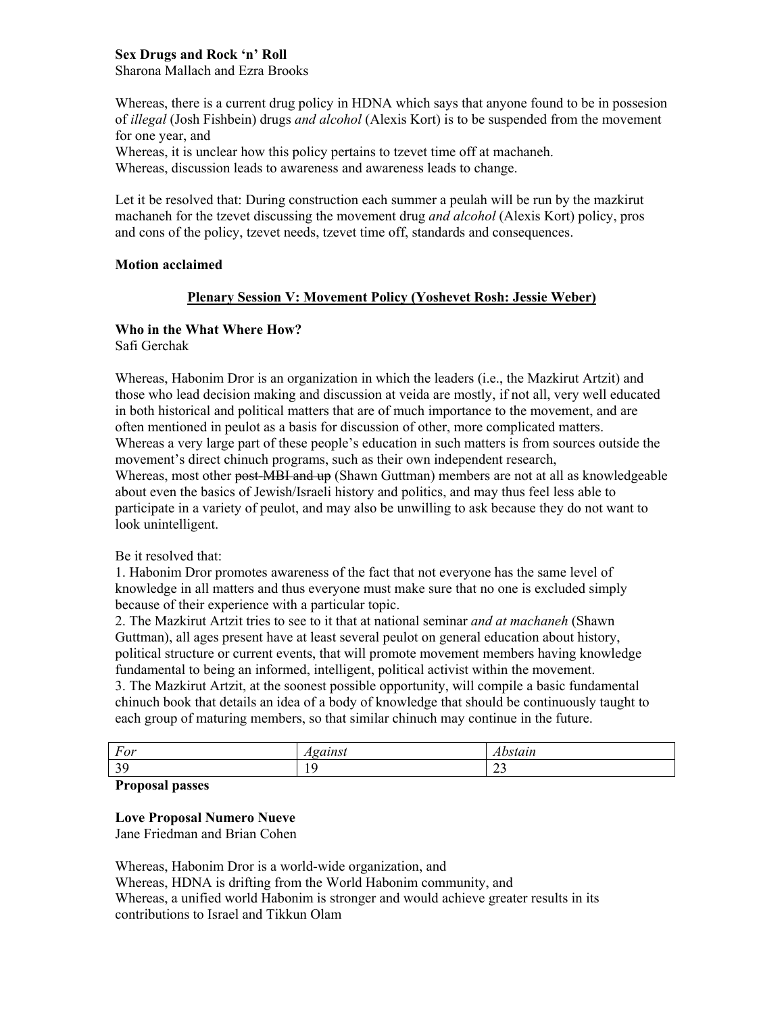### **Sex Drugs and Rock 'n' Roll** Sharona Mallach and Ezra Brooks

Whereas, there is a current drug policy in HDNA which says that anyone found to be in possesion of *illegal* (Josh Fishbein) drugs *and alcohol* (Alexis Kort) is to be suspended from the movement for one year, and

Whereas, it is unclear how this policy pertains to tzevet time off at machaneh. Whereas, discussion leads to awareness and awareness leads to change.

Let it be resolved that: During construction each summer a peulah will be run by the mazkirut machaneh for the tzevet discussing the movement drug *and alcohol* (Alexis Kort) policy, pros and cons of the policy, tzevet needs, tzevet time off, standards and consequences.

### **Motion acclaimed**

## **Plenary Session V: Movement Policy (Yoshevet Rosh: Jessie Weber)**

# **Who in the What Where How?**

Safi Gerchak

Whereas, Habonim Dror is an organization in which the leaders (i.e., the Mazkirut Artzit) and those who lead decision making and discussion at veida are mostly, if not all, very well educated in both historical and political matters that are of much importance to the movement, and are often mentioned in peulot as a basis for discussion of other, more complicated matters. Whereas a very large part of these people's education in such matters is from sources outside the movement's direct chinuch programs, such as their own independent research, Whereas, most other post-MBI and up (Shawn Guttman) members are not at all as knowledgeable about even the basics of Jewish/Israeli history and politics, and may thus feel less able to participate in a variety of peulot, and may also be unwilling to ask because they do not want to look unintelligent.

### Be it resolved that:

1. Habonim Dror promotes awareness of the fact that not everyone has the same level of knowledge in all matters and thus everyone must make sure that no one is excluded simply because of their experience with a particular topic.

2. The Mazkirut Artzit tries to see to it that at national seminar *and at machaneh* (Shawn Guttman), all ages present have at least several peulot on general education about history, political structure or current events, that will promote movement members having knowledge fundamental to being an informed, intelligent, political activist within the movement.

3. The Mazkirut Artzit, at the soonest possible opportunity, will compile a basic fundamental chinuch book that details an idea of a body of knowledge that should be continuously taught to each group of maturing members, so that similar chinuch may continue in the future.

| $\mathbf{\tau}$      | ------ | $-$          |
|----------------------|--------|--------------|
| For                  | uust   | , , , , , ,  |
| $\Omega$<br><u>.</u> | . .    | $\sim$<br>ر_ |

### **Proposal passes**

### **Love Proposal Numero Nueve**

Jane Friedman and Brian Cohen

Whereas, Habonim Dror is a world-wide organization, and Whereas, HDNA is drifting from the World Habonim community, and Whereas, a unified world Habonim is stronger and would achieve greater results in its contributions to Israel and Tikkun Olam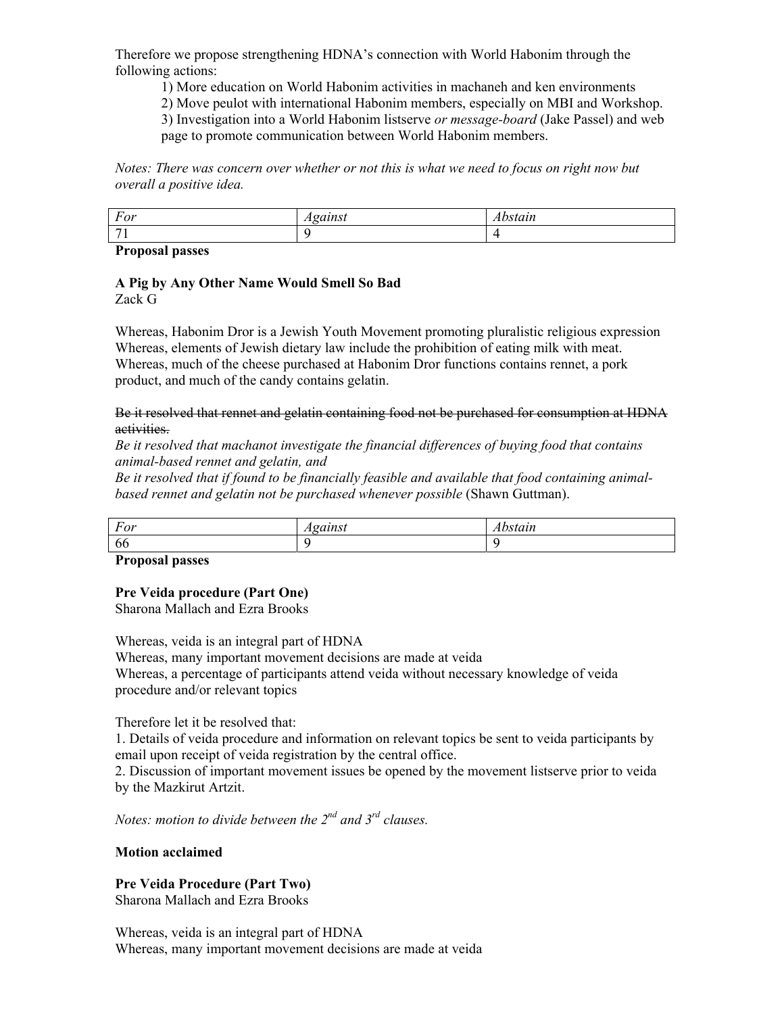Therefore we propose strengthening HDNA's connection with World Habonim through the following actions:

1) More education on World Habonim activities in machaneh and ken environments

2) Move peulot with international Habonim members, especially on MBI and Workshop. 3) Investigation into a World Habonim listserve *or message-board* (Jake Passel) and web

page to promote communication between World Habonim members.

*Notes: There was concern over whether or not this is what we need to focus on right now but overall a positive idea.* 

| $\overline{\phantom{a}}$<br>L'O <sub>T</sub><br>יטי |  |
|-----------------------------------------------------|--|
| -                                                   |  |

**Proposal passes** 

# **A Pig by Any Other Name Would Smell So Bad**

Zack G

Whereas, Habonim Dror is a Jewish Youth Movement promoting pluralistic religious expression Whereas, elements of Jewish dietary law include the prohibition of eating milk with meat. Whereas, much of the cheese purchased at Habonim Dror functions contains rennet, a pork product, and much of the candy contains gelatin.

### Be it resolved that rennet and gelatin containing food not be purchased for consumption at HDNA activities.

*Be it resolved that machanot investigate the financial differences of buying food that contains animal-based rennet and gelatin, and* 

*Be it resolved that if found to be financially feasible and available that food containing animalbased rennet and gelatin not be purchased whenever possible* (Shawn Guttman).

| $\sim$<br>For<br>$\overline{\phantom{a}}$ | $A \sim \alpha \epsilon$<br>------<br>. | $+ 0.774$<br>suun |
|-------------------------------------------|-----------------------------------------|-------------------|
| 66                                        |                                         |                   |

### **Proposal passes**

# **Pre Veida procedure (Part One)**

Sharona Mallach and Ezra Brooks

Whereas, veida is an integral part of HDNA Whereas, many important movement decisions are made at veida Whereas, a percentage of participants attend veida without necessary knowledge of veida procedure and/or relevant topics

Therefore let it be resolved that:

1. Details of veida procedure and information on relevant topics be sent to veida participants by email upon receipt of veida registration by the central office.

2. Discussion of important movement issues be opened by the movement listserve prior to veida by the Mazkirut Artzit.

*Notes: motion to divide between the 2nd and 3rd clauses.* 

### **Motion acclaimed**

# **Pre Veida Procedure (Part Two)**

Sharona Mallach and Ezra Brooks

Whereas, veida is an integral part of HDNA Whereas, many important movement decisions are made at veida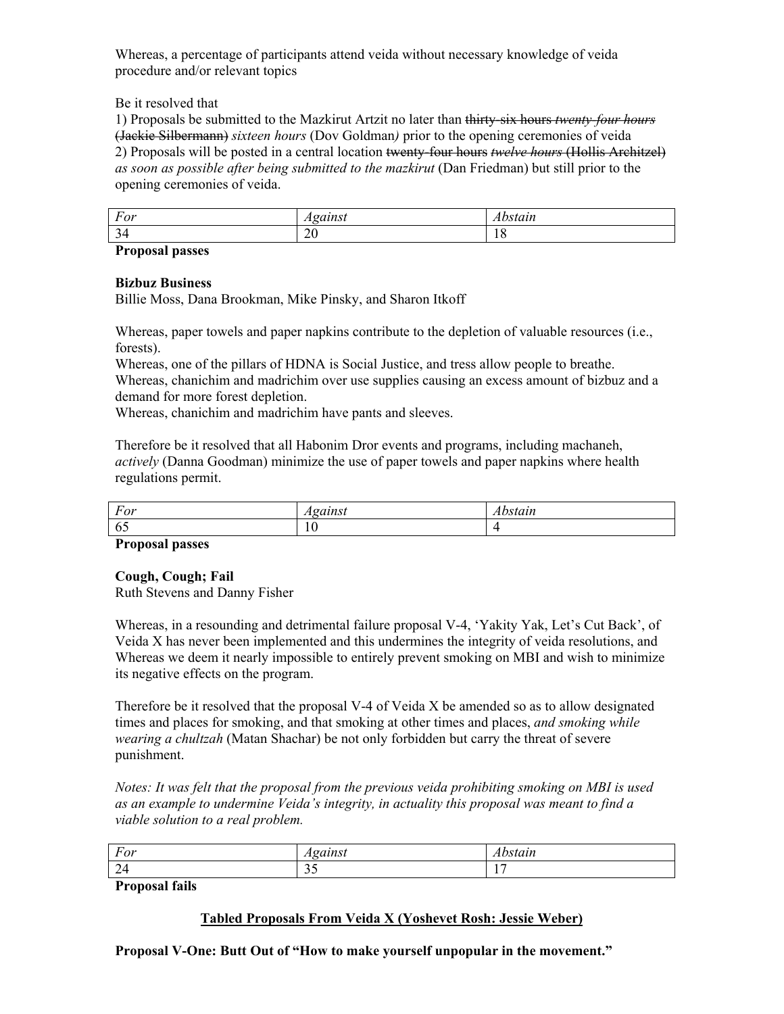Whereas, a percentage of participants attend veida without necessary knowledge of veida procedure and/or relevant topics

Be it resolved that

1) Proposals be submitted to the Mazkirut Artzit no later than thirty-six hours *twenty-four hours*  (Jackie Silbermann) *sixteen hours* (Dov Goldman*)* prior to the opening ceremonies of veida 2) Proposals will be posted in a central location twenty-four hours *twelve hours* (Hollis Architzel) *as soon as possible after being submitted to the mazkirut* (Dan Friedman) but still prior to the opening ceremonies of veida.

| For                             | $C$ $C$ $T$ $T$ $C$ $T$ | 2110<br>, , , , , , |
|---------------------------------|-------------------------|---------------------|
| $\sim$<br>$\tilde{\phantom{a}}$ | ററ<br>$\sim$            | . .                 |

**Proposal passes** 

### **Bizbuz Business**

Billie Moss, Dana Brookman, Mike Pinsky, and Sharon Itkoff

Whereas, paper towels and paper napkins contribute to the depletion of valuable resources (i.e., forests).

Whereas, one of the pillars of HDNA is Social Justice, and tress allow people to breathe. Whereas, chanichim and madrichim over use supplies causing an excess amount of bizbuz and a demand for more forest depletion.

Whereas, chanichim and madrichim have pants and sleeves.

Therefore be it resolved that all Habonim Dror events and programs, including machaneh, *actively* (Danna Goodman) minimize the use of paper towels and paper napkins where health regulations permit.

| $\mathbf{\tau}$ | $C0$ $C1$ $D0$ $C1$ | $-2111$ |
|-----------------|---------------------|---------|
| For             | umsi                | sıaın   |
| -<br>6:         | $\sim$<br>1 V       |         |

### **Proposal passes**

### **Cough, Cough; Fail**

Ruth Stevens and Danny Fisher

Whereas, in a resounding and detrimental failure proposal V-4, 'Yakity Yak, Let's Cut Back', of Veida X has never been implemented and this undermines the integrity of veida resolutions, and Whereas we deem it nearly impossible to entirely prevent smoking on MBI and wish to minimize its negative effects on the program.

Therefore be it resolved that the proposal V-4 of Veida X be amended so as to allow designated times and places for smoking, and that smoking at other times and places, *and smoking while wearing a chultzah* (Matan Shachar) be not only forbidden but carry the threat of severe punishment.

*Notes: It was felt that the proposal from the previous veida prohibiting smoking on MBI is used*  as an example to undermine Veida's integrity, in actuality this proposal was meant to find a *viable solution to a real problem.* 

| $\overline{\phantom{a}}$ | $\alpha$ 110 $\alpha$ | $- -$                      |
|--------------------------|-----------------------|----------------------------|
| For                      | . .                   | <i><u><u>LALII</u></u></i> |
| -<br>- -                 | $\sim$ $\sim$<br>ັ້   | $\overline{\phantom{a}}$   |

**Proposal fails** 

# **Tabled Proposals From Veida X (Yoshevet Rosh: Jessie Weber)**

**Proposal V-One: Butt Out of "How to make yourself unpopular in the movement."**